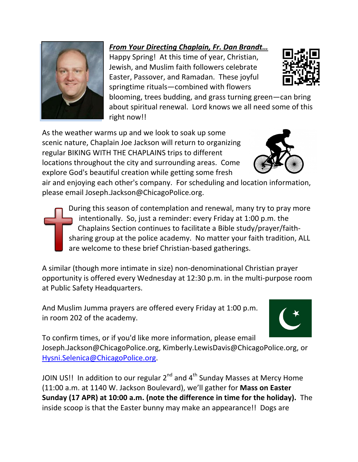## *From Your Directing Chaplain, Fr. Dan Brandt…* Happy Spring! At this time of year, Christian,

Jewish, and Muslim faith followers celebrate Easter, Passover, and Ramadan. These joyful springtime rituals—combined with flowers

blooming, trees budding, and grass turning green—can bring about spiritual renewal. Lord knows we all need some of this right now!!

As the weather warms up and we look to soak up some scenic nature, Chaplain Joe Jackson will return to organizing regular BIKING WITH THE CHAPLAINS trips to different locations throughout the city and surrounding areas. Come explore God's beautiful creation while getting some fresh

air and enjoying each other's company. For scheduling and location information, please email Joseph.Jackson@ChicagoPolice.org.

During this season of contemplation and renewal, many try to pray more intentionally. So, just a reminder: every Friday at 1:00 p.m. the Chaplains Section continues to facilitate a Bible study/prayer/faithsharing group at the police academy. No matter your faith tradition, ALL are welcome to these brief Christian-based gatherings.

A similar (though more intimate in size) non-denominational Christian prayer opportunity is offered every Wednesday at 12:30 p.m. in the multi-purpose room at Public Safety Headquarters.

And Muslim Jumma prayers are offered every Friday at 1:00 p.m. in room 202 of the academy.

To confirm times, or if you'd like more information, please email Joseph.Jackson@ChicagoPolice.org, Kimberly.LewisDavis@ChicagoPolice.org, or [Hysni.Selenica@ChicagoPolice.org.](mailto:Hysni.Selenica@ChicagoPolice.org)

JOIN US!! In addition to our regular  $2^{nd}$  and  $4^{th}$  Sunday Masses at Mercy Home (11:00 a.m. at 1140 W. Jackson Boulevard), we'll gather for **Mass on Easter Sunday (17 APR) at 10:00 a.m. (note the difference in time for the holiday).** The inside scoop is that the Easter bunny may make an appearance!! Dogs are









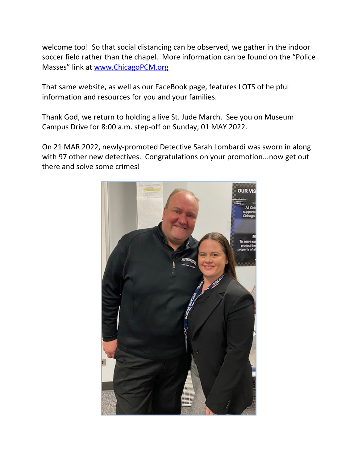welcome too! So that social distancing can be observed, we gather in the indoor soccer field rather than the chapel. More information can be found on the "Police Masses" link at [www.ChicagoPCM.org](http://www.chicagopcm.org/)

That same website, as well as our FaceBook page, features LOTS of helpful information and resources for you and your families.

Thank God, we return to holding a live St. Jude March. See you on Museum Campus Drive for 8:00 a.m. step-off on Sunday, 01 MAY 2022.

On 21 MAR 2022, newly-promoted Detective Sarah Lombardi was sworn in along with 97 other new detectives. Congratulations on your promotion...now get out there and solve some crimes!